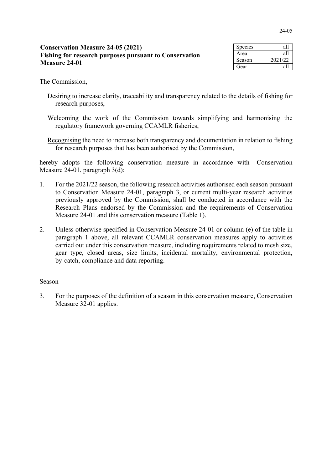| <b>Conservation Measure 24-05 (2021)</b>               | Spec                       |  |
|--------------------------------------------------------|----------------------------|--|
| Fishing for research purposes pursuant to Conservation |                            |  |
| <b>Measure 24-01</b>                                   |                            |  |
|                                                        | $G_{\mathbf{a}\mathbf{a}}$ |  |

| Species | all     |
|---------|---------|
| Area    | all     |
| Season  | 2021/22 |
| Gear    | яI      |

The Commission,

- Desiring to increase clarity, traceability and transparency related to the details of fishing for research purposes,
- Welcoming the work of the Commission towards simplifying and harmoni**s**ing the regulatory framework governing CCAMLR fisheries,
- Recognising the need to increase both transparency and documentation in relation to fishing for research purposes that has been authori**s**ed by the Commission,

hereby adopts the following conservation measure in accordance with Conservation Measure 24-01, paragraph 3(d):

- 1. For the 2021/22 season, the following research activities authorised each season pursuant to Conservation Measure 24-01, paragraph 3, or current multi-year research activities previously approved by the Commission, shall be conducted in accordance with the Research Plans endorsed by the Commission and the requirements of Conservation Measure 24-01 and this conservation measure (Table 1).
- 2. Unless otherwise specified in Conservation Measure 24-01 or column (e) of the table in paragraph 1 above, all relevant CCAMLR conservation measures apply to activities carried out under this conservation measure, including requirements related to mesh size, gear type, closed areas, size limits, incidental mortality, environmental protection, by-catch, compliance and data reporting.

## Season

3. For the purposes of the definition of a season in this conservation measure, Conservation Measure 32-01 applies.